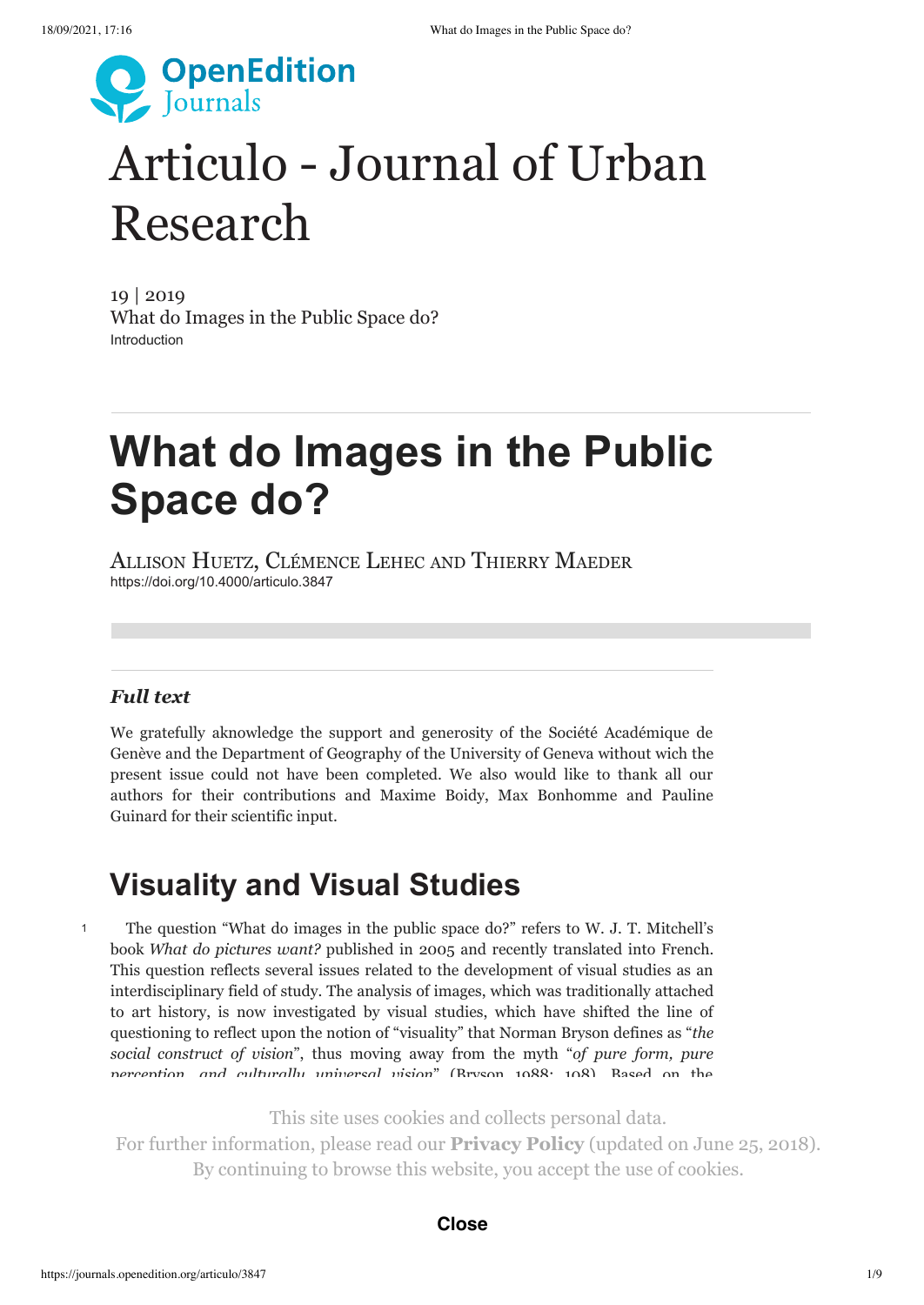

# Articulo - Journal of Urban [Research](http://journals.openedition.org/articulo)

19 | 2019 [What do Images in the Public Space do?](https://journals.openedition.org/articulo/3222) Introduction

# **What do Images in the Public Space do?**

Allison Huetz, Clémence Lehec and Thierry Maeder <https://doi.org/10.4000/articulo.3847>

## *Full text*

1

We gratefully aknowledge the support and generosity of the Société Académique de Genève and the Department of Geography of the University of Geneva without wich the present issue could not have been completed. We also would like to thank all our authors for their contributions and Maxime Boidy, Max Bonhomme and Pauline Guinard for their scientific input.

## **Visuality and Visual Studies**

The question "What do images in the public space do?" refers to W. J. T. Mitchell's book *What do pictures want?* published in 2005 and recently translated into French. This question reflects several issues related to the development of visual studies as an interdisciplinary field of study. The analysis of images, which was traditionally attached to art history, is now investigated by visual studies, which have shifted the line of questioning to reflect upon the notion of "visuality" that Norman Bryson defines as "*the social construct of vision*", thus moving away from the myth "*of pure form, pure perception, and culturally universal vision*" (Bryson 1988: 108). Based on the

*formally that this site uses cookies and collects personal data.* 

For further information, please read our **[Privacy Policy](https://www.openedition.org/19362?lang=en)** (updated on June 25, 2018). examine how they contribute to the construction of "*visual regimes*" by which "*social* By continuing to browse this website, you accept the use of cookies.

#### types of visual inscriptions – such as graffiti, performances, sculptures, statues, **Close**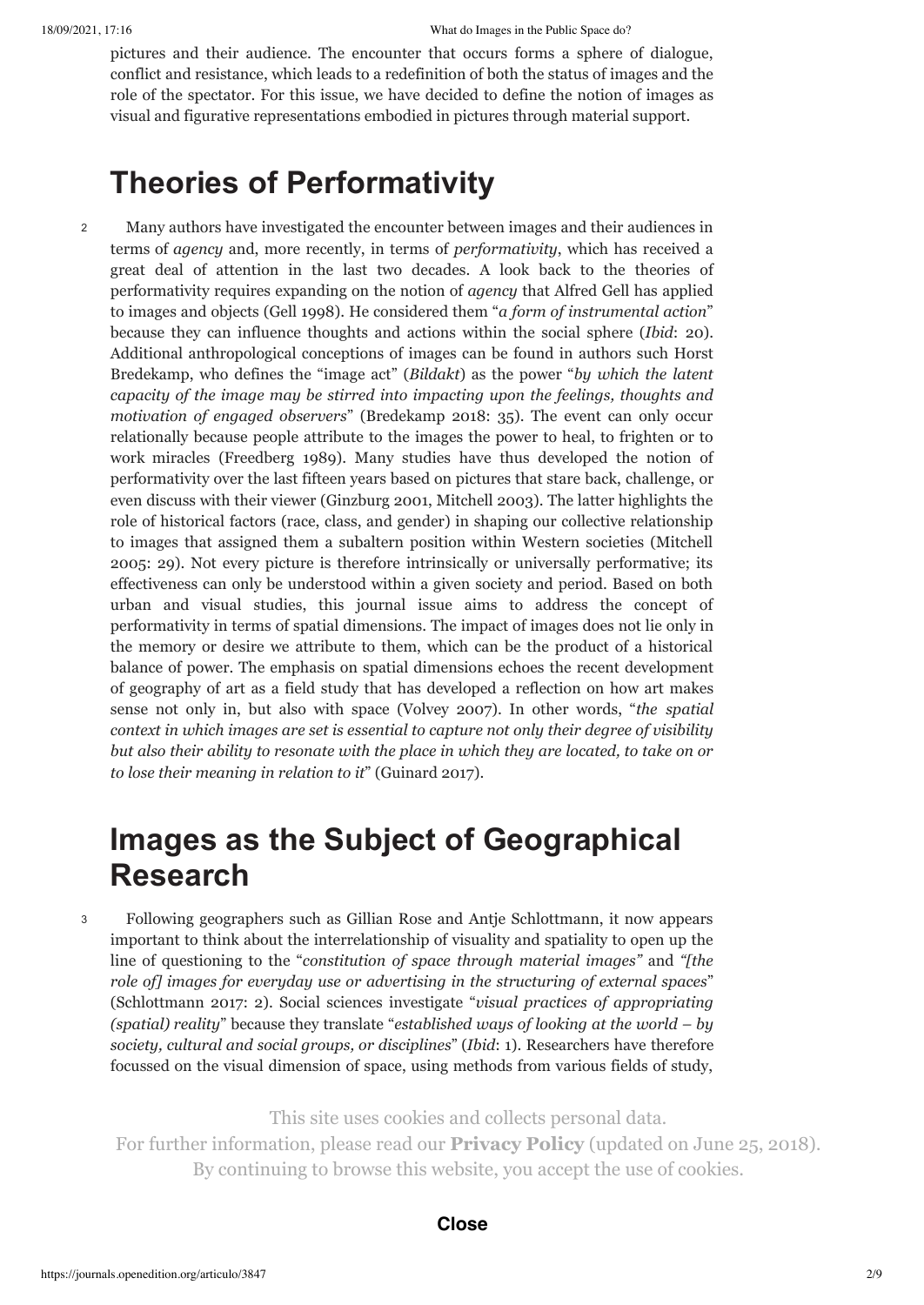pictures and their audience. The encounter that occurs forms a sphere of dialogue, conflict and resistance, which leads to a redefinition of both the status of images and the role of the spectator. For this issue, we have decided to define the notion of images as visual and figurative representations embodied in pictures through material support.

## **Theories of Performativity**

Many authors have investigated the encounter between images and their audiences in terms of *agency* and, more recently, in terms of *performativity*, which has received a great deal of attention in the last two decades. A look back to the theories of performativity requires expanding on the notion of *agency* that Alfred Gell has applied to images and objects (Gell 1998). He considered them "*a form of instrumental action*" because they can influence thoughts and actions within the social sphere (*Ibid*: 20). Additional anthropological conceptions of images can be found in authors such Horst Bredekamp, who defines the "image act" (*Bildakt*) as the power "*by which the latent capacity of the image may be stirred into impacting upon the feelings, thoughts and motivation of engaged observers*" (Bredekamp 2018: 35). The event can only occur relationally because people attribute to the images the power to heal, to frighten or to work miracles (Freedberg 1989). Many studies have thus developed the notion of performativity over the last fifteen years based on pictures that stare back, challenge, or even discuss with their viewer (Ginzburg 2001, Mitchell 2003). The latter highlights the role of historical factors (race, class, and gender) in shaping our collective relationship to images that assigned them a subaltern position within Western societies (Mitchell 2005: 29). Not every picture is therefore intrinsically or universally performative; its effectiveness can only be understood within a given society and period. Based on both urban and visual studies, this journal issue aims to address the concept of performativity in terms of spatial dimensions. The impact of images does not lie only in the memory or desire we attribute to them, which can be the product of a historical balance of power. The emphasis on spatial dimensions echoes the recent development of geography of art as a field study that has developed a reflection on how art makes sense not only in, but also with space (Volvey 2007). In other words, "*the spatial context in which images are set is essential to capture not only their degree of visibility but also their ability to resonate with the place in which they are located, to take on or to lose their meaning in relation to it*" (Guinard 2017). 2

## **Images as the Subject of Geographical Research**

3

Following geographers such as Gillian Rose and Antje Schlottmann, it now appears important to think about the interrelationship of visuality and spatiality to open up the line of questioning to the "*constitution of space through material images"* and *"[the role of] images for everyday use or advertising in the structuring of external spaces*" (Schlottmann 2017: 2). Social sciences investigate "*visual practices of appropriating (spatial) reality*" because they translate "*established ways of looking at the world – by society, cultural and social groups, or disciplines*" (*Ibid*: 1). Researchers have therefore focussed on the visual dimension of space, using methods from various fields of study,

This site uses cookies and collects personal data.

For further information, please read our **[Privacy Policy](https://www.openedition.org/19362?lang=en)** (updated on June 25, 2018). By continuing to browse this website, you accept the use of cookies. sculpture to performance – now take part in the making of the urban fabric. The

#### publication thus already raises the question of the reality of the effects produced produced produced produced **Close**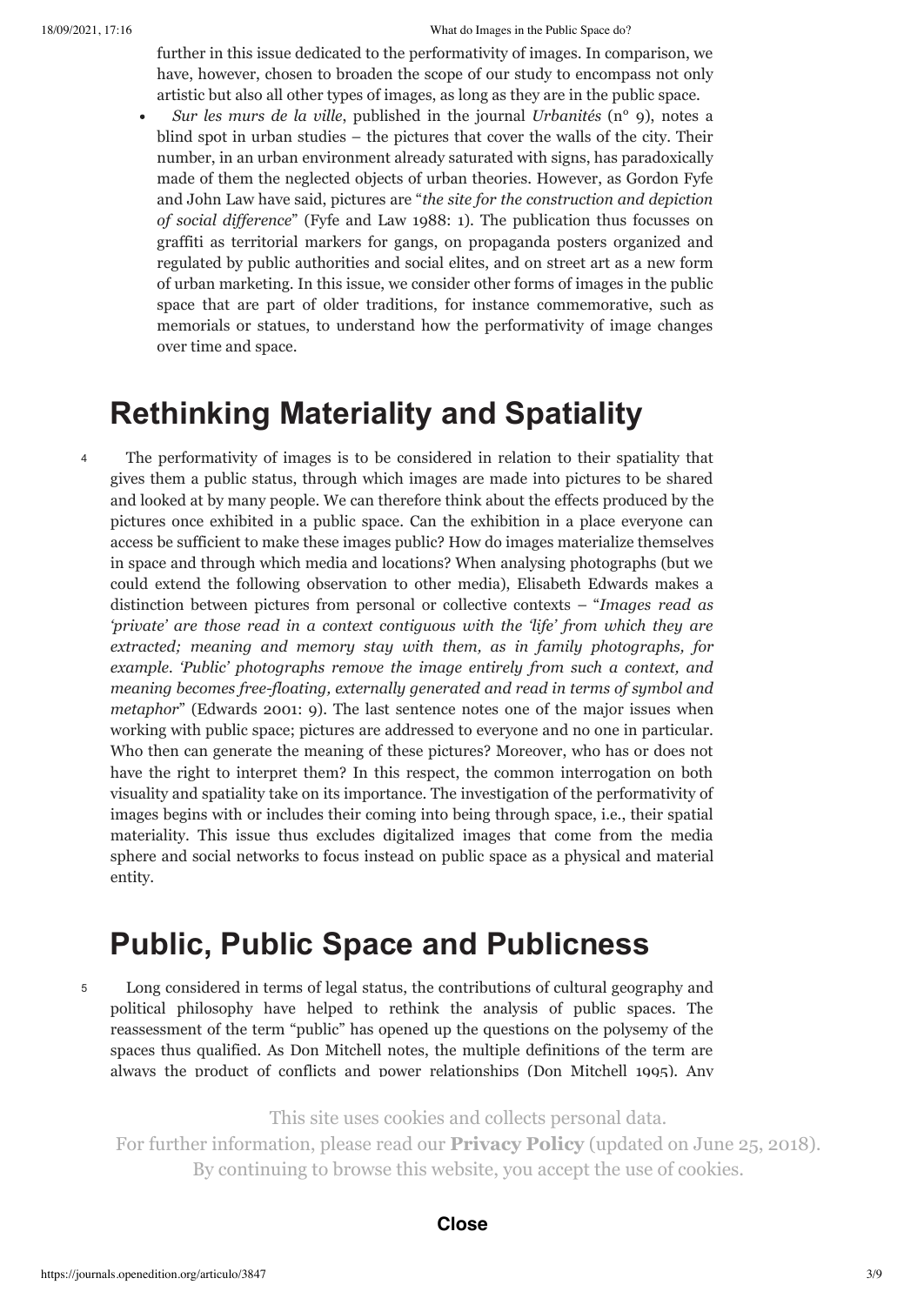4

further in this issue dedicated to the performativity of images. In comparison, we have, however, chosen to broaden the scope of our study to encompass not only artistic but also all other types of images, as long as they are in the public space.

*Sur les murs de la ville*, published in the journal *Urbanités* (n° 9), notes a blind spot in urban studies – the pictures that cover the walls of the city. Their number, in an urban environment already saturated with signs, has paradoxically made of them the neglected objects of urban theories. However, as Gordon Fyfe and John Law have said, pictures are "*the site for the construction and depiction of social dif erence*" (Fyfe and Law 1988: 1). The publication thus focusses on graffiti as territorial markers for gangs, on propaganda posters organized and regulated by public authorities and social elites, and on street art as a new form of urban marketing. In this issue, we consider other forms of images in the public space that are part of older traditions, for instance commemorative, such as memorials or statues, to understand how the performativity of image changes over time and space.

## **Rethinking Materiality and Spatiality**

The performativity of images is to be considered in relation to their spatiality that gives them a public status, through which images are made into pictures to be shared and looked at by many people. We can therefore think about the effects produced by the pictures once exhibited in a public space. Can the exhibition in a place everyone can access be sufficient to make these images public? How do images materialize themselves in space and through which media and locations? When analysing photographs (but we could extend the following observation to other media), Elisabeth Edwards makes a distinction between pictures from personal or collective contexts – "*Images read as 'private' are those read in a context contiguous with the 'life' from which they are extracted; meaning and memory stay with them, as in family photographs, for example. 'Public' photographs remove the image entirely from such a context, and meaning becomes free-floating, externally generated and read in terms of symbol and metaphor*" (Edwards 2001: 9). The last sentence notes one of the major issues when working with public space; pictures are addressed to everyone and no one in particular. Who then can generate the meaning of these pictures? Moreover, who has or does not have the right to interpret them? In this respect, the common interrogation on both visuality and spatiality take on its importance. The investigation of the performativity of images begins with or includes their coming into being through space, i.e., their spatial materiality. This issue thus excludes digitalized images that come from the media sphere and social networks to focus instead on public space as a physical and material entity.

## **Public, Public Space and Publicness**

5

Long considered in terms of legal status, the contributions of cultural geography and political philosophy have helped to rethink the analysis of public spaces. The reassessment of the term "public" has opened up the questions on the polysemy of the spaces thus qualified. As Don Mitchell notes, the multiple definitions of the term are always the product of conflicts and power relationships (Don Mitchell 1995). Any

This site uses cookies and collects personal data.

relevant to view the public view to view the public state of a space – and image – and image – as a cardinal value; a notion  $\eta$  is  $\eta$ For further information, please read our **[Privacy Policy](https://www.openedition.org/19362?lang=en)** (updated on June 25, 2018). By continuing to browse this website, you accept the use of cookies.

#### encounter between differences is negotiated there. **Close**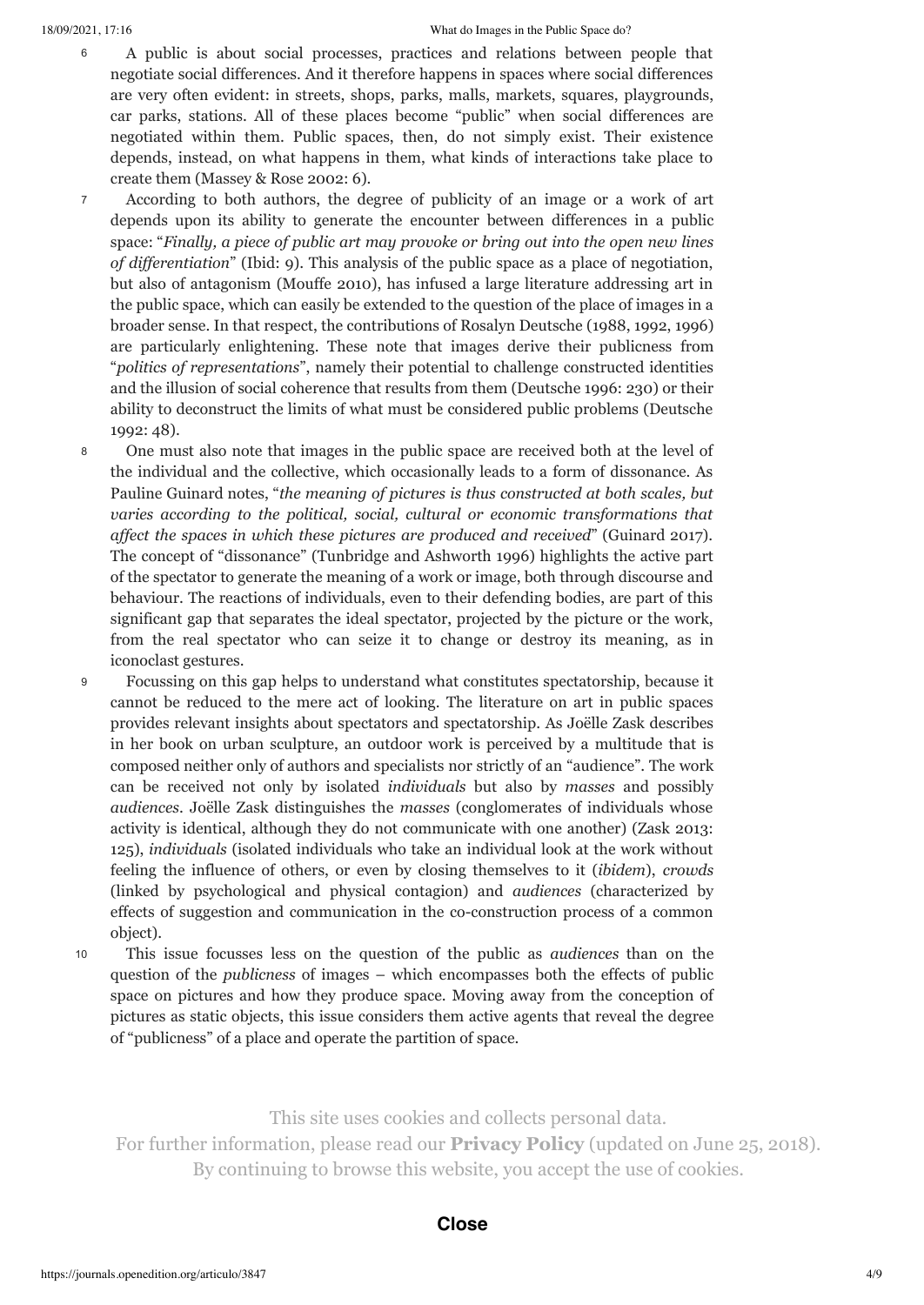#### 18/09/2021, 17:16 What do Images in the Public Space do?

- A public is about social processes, practices and relations between people that negotiate social differences. And it therefore happens in spaces where social differences are very often evident: in streets, shops, parks, malls, markets, squares, playgrounds, car parks, stations. All of these places become "public" when social differences are negotiated within them. Public spaces, then, do not simply exist. Their existence depends, instead, on what happens in them, what kinds of interactions take place to create them (Massey & Rose 2002: 6). 6
- According to both authors, the degree of publicity of an image or a work of art depends upon its ability to generate the encounter between differences in a public space: "*Finally, a piece of public art may provoke or bring out into the open new lines of dif erentiation*" (Ibid: 9). This analysis of the public space as a place of negotiation, but also of antagonism (Mouffe 2010), has infused a large literature addressing art in the public space, which can easily be extended to the question of the place of images in a broader sense. In that respect, the contributions of Rosalyn Deutsche (1988, 1992, 1996) are particularly enlightening. These note that images derive their publicness from "*politics of representations*", namely their potential to challenge constructed identities and the illusion of social coherence that results from them (Deutsche 1996: 230) or their ability to deconstruct the limits of what must be considered public problems (Deutsche 1992: 48). 7
- One must also note that images in the public space are received both at the level of the individual and the collective, which occasionally leads to a form of dissonance. As Pauline Guinard notes, "*the meaning of pictures is thus constructed at both scales, but varies according to the political, social, cultural or economic transformations that af ect the spaces in which these pictures are produced and received*" (Guinard 2017). The concept of "dissonance" (Tunbridge and Ashworth 1996) highlights the active part of the spectator to generate the meaning of a work or image, both through discourse and behaviour. The reactions of individuals, even to their defending bodies, are part of this significant gap that separates the ideal spectator, projected by the picture or the work, from the real spectator who can seize it to change or destroy its meaning, as in iconoclast gestures. 8
- Focussing on this gap helps to understand what constitutes spectatorship, because it cannot be reduced to the mere act of looking. The literature on art in public spaces provides relevant insights about spectators and spectatorship. As Joëlle Zask describes in her book on urban sculpture, an outdoor work is perceived by a multitude that is composed neither only of authors and specialists nor strictly of an "audience". The work can be received not only by isolated *individuals* but also by *masses* and possibly *audiences*. Joëlle Zask distinguishes the *masses* (conglomerates of individuals whose activity is identical, although they do not communicate with one another) (Zask 2013: 125), *individuals* (isolated individuals who take an individual look at the work without feeling the influence of others, or even by closing themselves to it (*ibidem*), *crowds* (linked by psychological and physical contagion) and *audiences* (characterized by effects of suggestion and communication in the co-construction process of a common object). 9
- 10

This issue focusses less on the question of the public as *audiences* than on the question of the *publicness* of images – which encompasses both the effects of public space on pictures and how they produce space. Moving away from the conception of pictures as static objects, this issue considers them active agents that reveal the degree of "publicness" of a place and operate the partition of space.

**Politics Politics Politics** and collects personal data. For further information, please read our **[Privacy Policy](https://www.openedition.org/19362?lang=en)** (updated on June 25, 2018). By continuing to browse this website, you accept the use of cookies.

#### $201$  $t_{\text{rel}}$  conditions of visible, unveiled or seen by others, unveiled or seen by others, unveiled or seen by others, unveiled or seen by others, unveiled or seen by others, understand or seen by others, understand or seen **Close**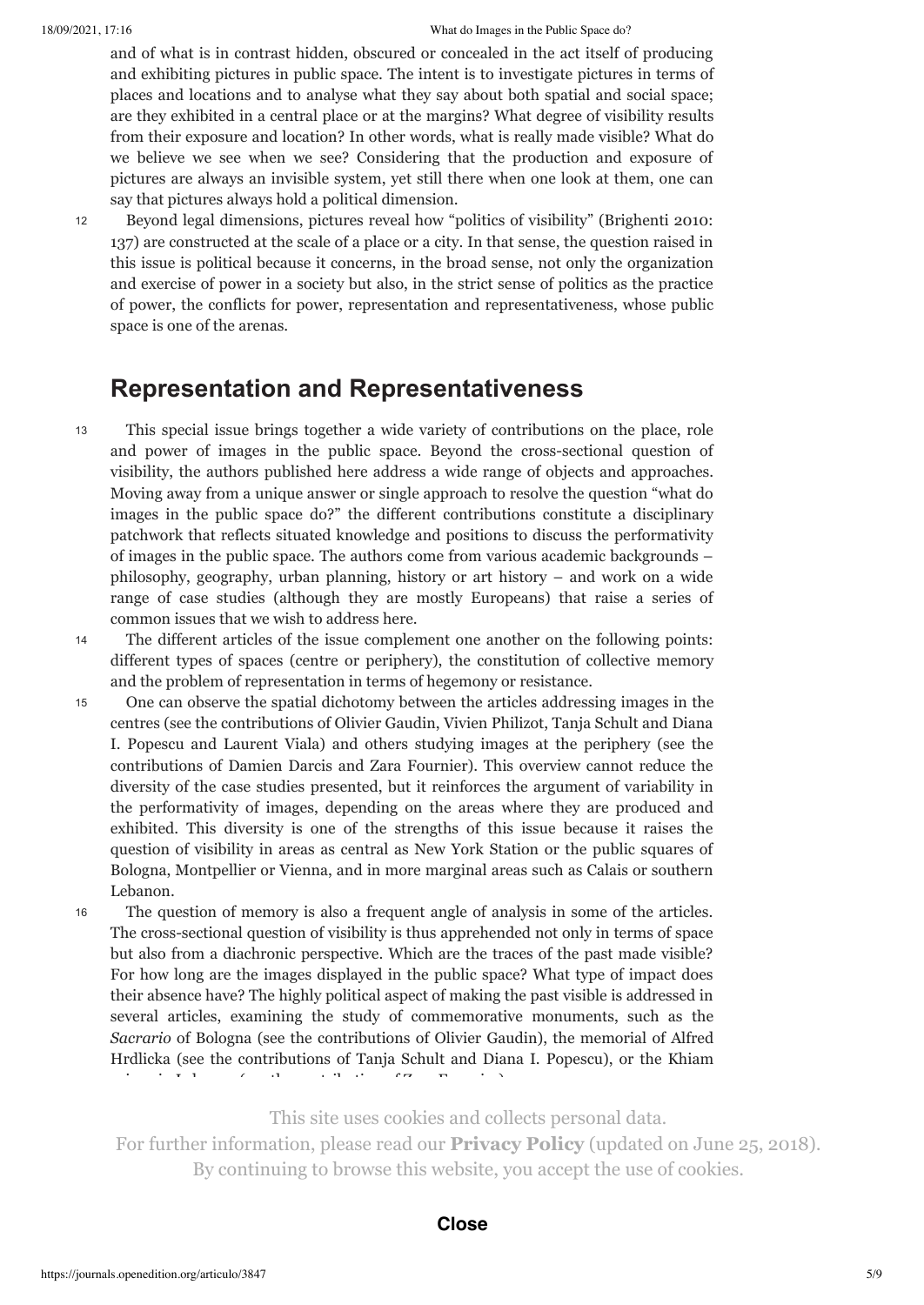#### 18/09/2021, 17:16 What do Images in the Public Space do?

and of what is in contrast hidden, obscured or concealed in the act itself of producing and exhibiting pictures in public space. The intent is to investigate pictures in terms of places and locations and to analyse what they say about both spatial and social space; are they exhibited in a central place or at the margins? What degree of visibility results from their exposure and location? In other words, what is really made visible? What do we believe we see when we see? Considering that the production and exposure of pictures are always an invisible system, yet still there when one look at them, one can say that pictures always hold a political dimension.

12

Beyond legal dimensions, pictures reveal how "politics of visibility" (Brighenti 2010: 137) are constructed at the scale of a place or a city. In that sense, the question raised in this issue is political because it concerns, in the broad sense, not only the organization and exercise of power in a society but also, in the strict sense of politics as the practice of power, the conflicts for power, representation and representativeness, whose public space is one of the arenas.

## **Representation and Representativeness**

- This special issue brings together a wide variety of contributions on the place, role and power of images in the public space. Beyond the cross-sectional question of visibility, the authors published here address a wide range of objects and approaches. Moving away from a unique answer or single approach to resolve the question "what do images in the public space do?" the different contributions constitute a disciplinary patchwork that reflects situated knowledge and positions to discuss the performativity of images in the public space. The authors come from various academic backgrounds – philosophy, geography, urban planning, history or art history – and work on a wide range of case studies (although they are mostly Europeans) that raise a series of common issues that we wish to address here. 13
- 

The different articles of the issue complement one another on the following points: different types of spaces (centre or periphery), the constitution of collective memory and the problem of representation in terms of hegemony or resistance. 14

- One can observe the spatial dichotomy between the articles addressing images in the centres (see the contributions of Olivier Gaudin, Vivien Philizot, Tanja Schult and Diana I. Popescu and Laurent Viala) and others studying images at the periphery (see the contributions of Damien Darcis and Zara Fournier). This overview cannot reduce the diversity of the case studies presented, but it reinforces the argument of variability in the performativity of images, depending on the areas where they are produced and exhibited. This diversity is one of the strengths of this issue because it raises the question of visibility in areas as central as New York Station or the public squares of Bologna, Montpellier or Vienna, and in more marginal areas such as Calais or southern Lebanon. 15
- The question of memory is also a frequent angle of analysis in some of the articles. The cross-sectional question of visibility is thus apprehended not only in terms of space but also from a diachronic perspective. Which are the traces of the past made visible? For how long are the images displayed in the public space? What type of impact does their absence have? The highly political aspect of making the past visible is addressed in several articles, examining the study of commemorative monuments, such as the *Sacrario* of Bologna (see the contributions of Olivier Gaudin), the memorial of Alfred Hrdlicka (see the contributions of Tanja Schult and Diana I. Popescu), or the Khiam prison in Lebanon (see the contribution of Zara Fournier). 16

This site uses cookies and collects personal data.

For further information, please read our **[Privacy Policy](https://www.openedition.org/19362?lang=en)** (updated on June 25, 2018). By continuing to browse this website, you accept the use of cookies.  $\mathcal{L}$ 

### **Close**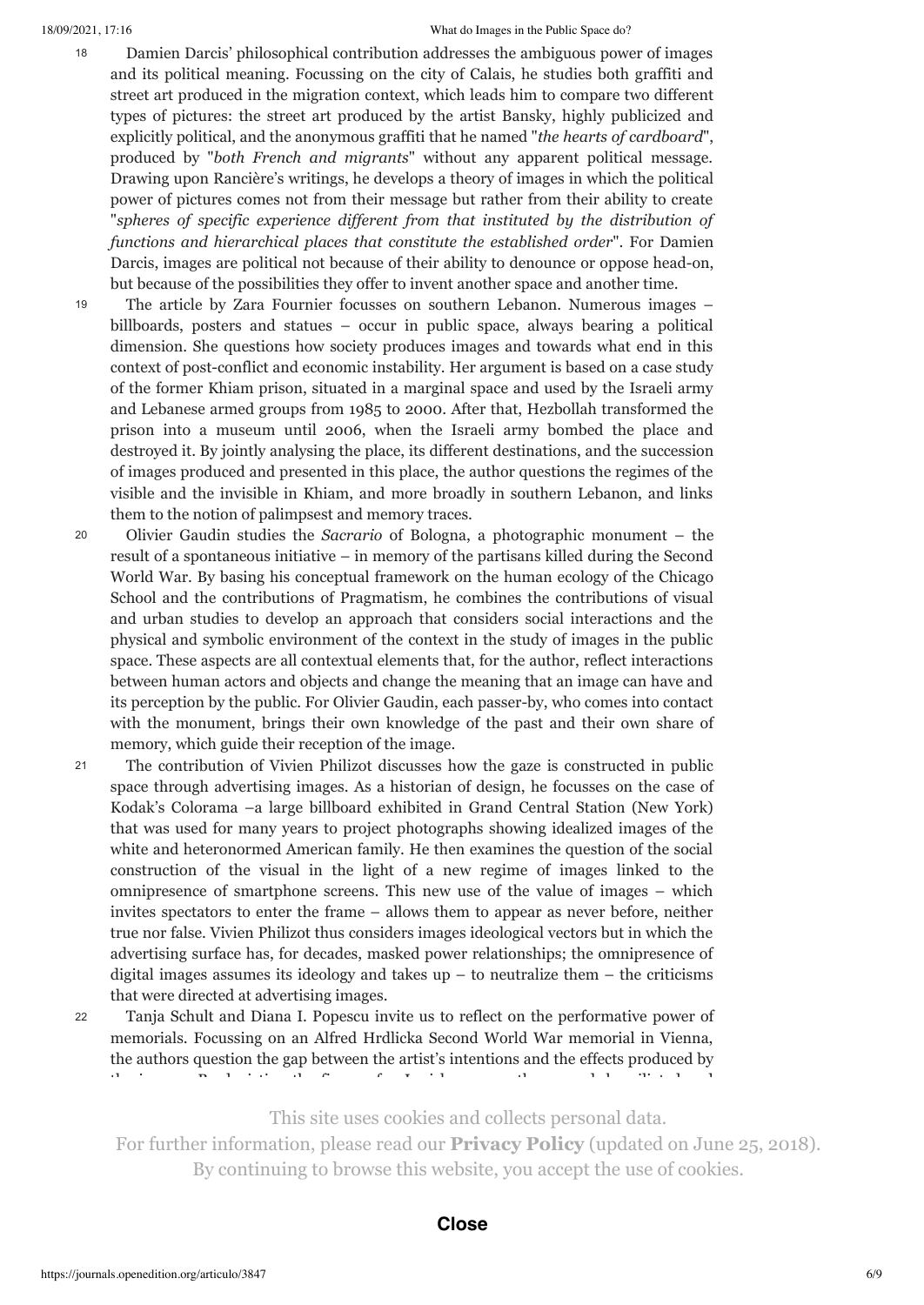#### 18/09/2021, 17:16 What do Images in the Public Space do?

- Damien Darcis' philosophical contribution addresses the ambiguous power of images and its political meaning. Focussing on the city of Calais, he studies both graffiti and street art produced in the migration context, which leads him to compare two different types of pictures: the street art produced by the artist Bansky, highly publicized and explicitly political, and the anonymous graffiti that he named "*the hearts of cardboard*", produced by "*both French and migrants*" without any apparent political message. Drawing upon Rancière's writings, he develops a theory of images in which the political power of pictures comes not from their message but rather from their ability to create "*spheres of specific experience dif erent from that instituted by the distribution of functions and hierarchical places that constitute the established order*". For Damien Darcis, images are political not because of their ability to denounce or oppose head-on, but because of the possibilities they offer to invent another space and another time. 18
- The article by Zara Fournier focusses on southern Lebanon. Numerous images billboards, posters and statues – occur in public space, always bearing a political dimension. She questions how society produces images and towards what end in this context of post-conflict and economic instability. Her argument is based on a case study of the former Khiam prison, situated in a marginal space and used by the Israeli army and Lebanese armed groups from 1985 to 2000. After that, Hezbollah transformed the prison into a museum until 2006, when the Israeli army bombed the place and destroyed it. By jointly analysing the place, its different destinations, and the succession of images produced and presented in this place, the author questions the regimes of the visible and the invisible in Khiam, and more broadly in southern Lebanon, and links them to the notion of palimpsest and memory traces. 19
- Olivier Gaudin studies the *Sacrario* of Bologna, a photographic monument the result of a spontaneous initiative – in memory of the partisans killed during the Second World War. By basing his conceptual framework on the human ecology of the Chicago School and the contributions of Pragmatism, he combines the contributions of visual and urban studies to develop an approach that considers social interactions and the physical and symbolic environment of the context in the study of images in the public space. These aspects are all contextual elements that, for the author, reflect interactions between human actors and objects and change the meaning that an image can have and its perception by the public. For Olivier Gaudin, each passer-by, who comes into contact with the monument, brings their own knowledge of the past and their own share of memory, which guide their reception of the image. 20
- The contribution of Vivien Philizot discusses how the gaze is constructed in public space through advertising images. As a historian of design, he focusses on the case of Kodak's Colorama –a large billboard exhibited in Grand Central Station (New York) that was used for many years to project photographs showing idealized images of the white and heteronormed American family. He then examines the question of the social construction of the visual in the light of a new regime of images linked to the omnipresence of smartphone screens. This new use of the value of images – which invites spectators to enter the frame – allows them to appear as never before, neither true nor false. Vivien Philizot thus considers images ideological vectors but in which the advertising surface has, for decades, masked power relationships; the omnipresence of digital images assumes its ideology and takes  $up - to$  neutralize them  $-$  the criticisms that were directed at advertising images. 21
- Tanja Schult and Diana I. Popescu invite us to reflect on the performative power of memorials. Focussing on an Alfred Hrdlicka Second World War memorial in Vienna, the authors question the gap between the artist's intentions and the effects produced by the images. By depicting the figure of a Jewish man on the ground, humiliated and 22

This site uses cookies and collects personal data.

For further information, please read our **[Privacy Policy](https://www.openedition.org/19362?lang=en)** (updated on June 25, 2018). By continuing to browse this website, you accept the use of cookies.  $\mathcal{L}$  memorial intended to intended to invite a country to its past, its past, its past, its past, its past, its past, its past, its past, its past, its past, its past, its past, its past, its past, its past, its past,

#### contribution, Tanja Schult and Diana Popescu demonstrate that, in contact with an in contact with an in contact with an in contact with an in contact with an in contact with an in contact with an in contact with an in cont **Close**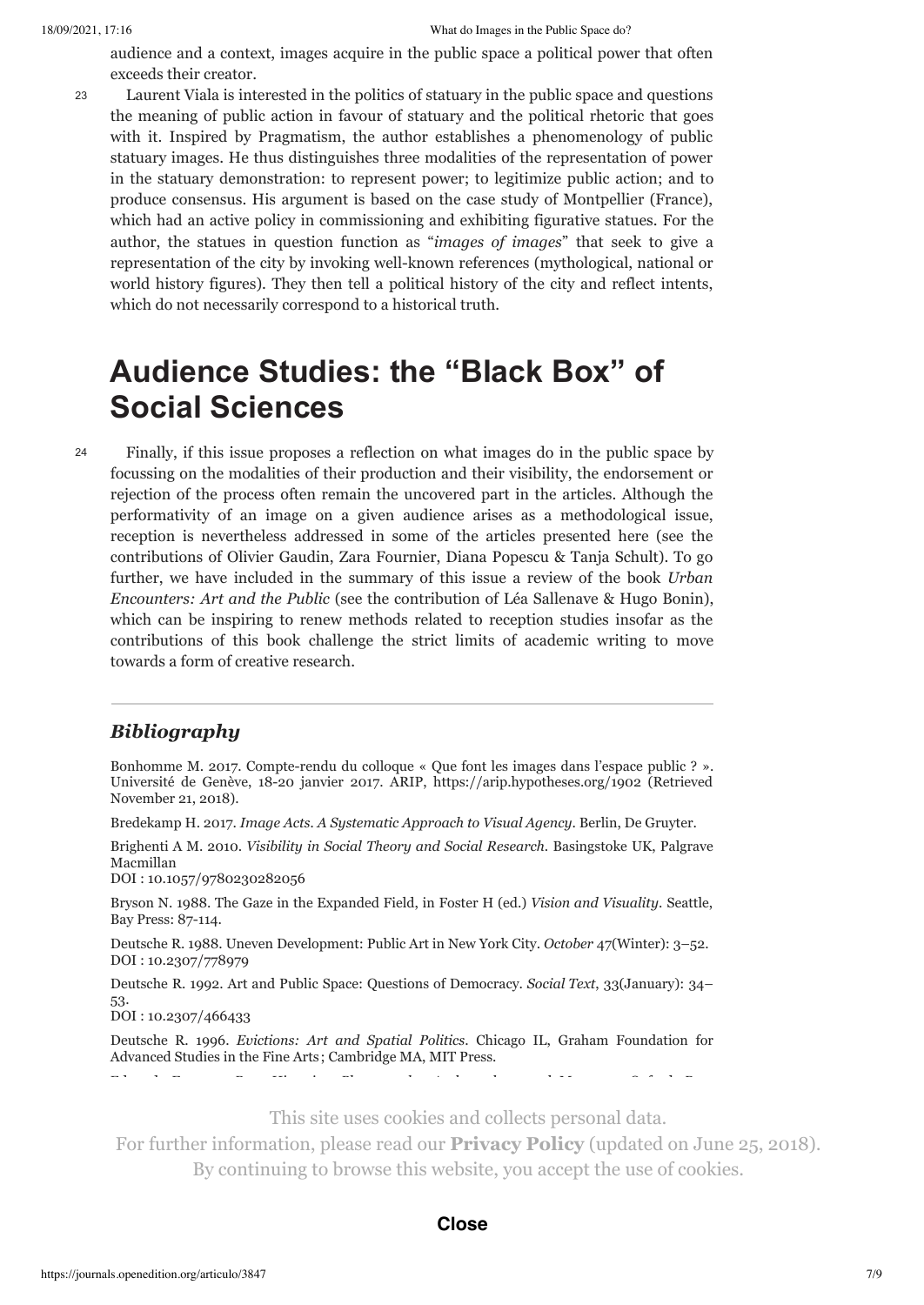audience and a context, images acquire in the public space a political power that often exceeds their creator.

Laurent Viala is interested in the politics of statuary in the public space and questions the meaning of public action in favour of statuary and the political rhetoric that goes with it. Inspired by Pragmatism, the author establishes a phenomenology of public statuary images. He thus distinguishes three modalities of the representation of power in the statuary demonstration: to represent power; to legitimize public action; and to produce consensus. His argument is based on the case study of Montpellier (France), which had an active policy in commissioning and exhibiting figurative statues. For the author, the statues in question function as "*images of images*" that seek to give a representation of the city by invoking well-known references (mythological, national or world history figures). They then tell a political history of the city and reflect intents, which do not necessarily correspond to a historical truth. 23

## **Audience Studies: the "Black Box" of Social Sciences**

24

Finally, if this issue proposes a reflection on what images do in the public space by focussing on the modalities of their production and their visibility, the endorsement or rejection of the process often remain the uncovered part in the articles. Although the performativity of an image on a given audience arises as a methodological issue, reception is nevertheless addressed in some of the articles presented here (see the contributions of Olivier Gaudin, Zara Fournier, Diana Popescu & Tanja Schult). To go further, we have included in the summary of this issue a review of the book *Urban Encounters: Art and the Public* (see the contribution of Léa Sallenave & Hugo Bonin), which can be inspiring to renew methods related to reception studies insofar as the contributions of this book challenge the strict limits of academic writing to move towards a form of creative research.

### *Bibliography*

Bonhomme M. 2017. Compte-rendu du colloque « Que font les images dans l'espace public ? ». Université de Genève, 18-20 janvier 2017. ARIP, https://arip.hypotheses.org/1902 (Retrieved November 21, 2018).

Bredekamp H. 2017. *Image Acts. A Systematic Approach to Visual Agency*. Berlin, De Gruyter.

Brighenti A M. 2010. *Visibility in Social Theory and Social Research*. Basingstoke UK, Palgrave Macmillan

DOI : [10.1057/9780230282056](http://dx.doi.org/10.1057/9780230282056)

Bryson N. 1988. The Gaze in the Expanded Field, in Foster H (ed.) *Vision and Visuality*. Seattle, Bay Press: 87-114.

Deutsche R. 1988. Uneven Development: Public Art in New York City. *October* 47(Winter): 3–52. DOI : [10.2307/778979](http://dx.doi.org/10.2307/778979)

Deutsche R. 1992. Art and Public Space: Questions of Democracy. *Social Text*, 33(January): 34– 53.

DOI : [10.2307/466433](http://dx.doi.org/10.2307/466433)

Deutsche R. 1996. *Evictions: Art and Spatial Politics*. Chicago IL, Graham Foundation for Advanced Studies in the Fine Arts ; Cambridge MA, MIT Press.

Gell A. 1998. *Art and Agency : An Anthropological Theory*. Wotton-under-Edge UK, Clarendon

This site uses cookies and collects personal data.

For further information, please read our **[Privacy Policy](https://www.openedition.org/19362?lang=en)** (updated on June 25, 2018). By continuing to browse this website, you accept the use of cookies.

#### Ginzburg C. 2001. 'Your Country Needs You': A Case Study in Political Iconography. *History* **Close**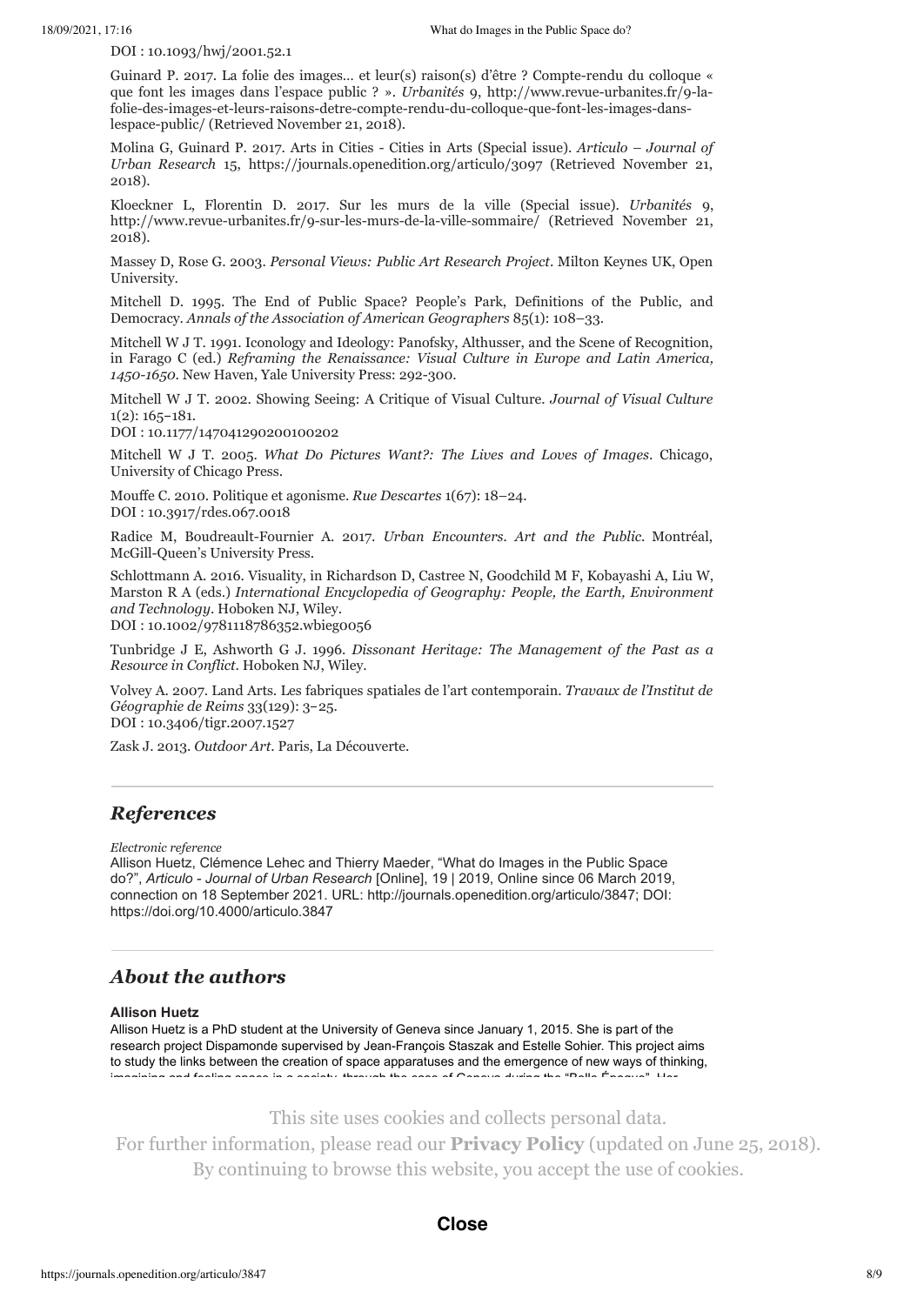DOI : [10.1093/hwj/2001.52.1](http://dx.doi.org/10.1093/hwj/2001.52.1)

Guinard P. 2017. La folie des images… et leur(s) raison(s) d'être ? Compte-rendu du colloque « que font les images dans l'espace public ? ». *Urbanités* 9, http://www.revue-urbanites.fr/9-lafolie-des-images-et-leurs-raisons-detre-compte-rendu-du-colloque-que-font-les-images-danslespace-public/ (Retrieved November 21, 2018).

Molina G, Guinard P. 2017. Arts in Cities - Cities in Arts (Special issue). *Articulo – Journal of Urban Research* 15, https://journals.openedition.org/articulo/3097 (Retrieved November 21, 2018).

Kloeckner L, Florentin D. 2017. Sur les murs de la ville (Special issue). *Urbanités* 9, http://www.revue-urbanites.fr/9-sur-les-murs-de-la-ville-sommaire/ (Retrieved November 21, 2018).

Massey D, Rose G. 2003. *Personal Views: Public Art Research Project*. Milton Keynes UK, Open University.

Mitchell D. 1995. The End of Public Space? People's Park, Definitions of the Public, and Democracy. *Annals of the Association of American Geographers* 85(1): 108–33.

Mitchell W J T. 1991. Iconology and Ideology: Panofsky, Althusser, and the Scene of Recognition, in Farago C (ed.) *Reframing the Renaissance: Visual Culture in Europe and Latin America, 1450-1650*. New Haven, Yale University Press: 292-300.

Mitchell W J T. 2002. Showing Seeing: A Critique of Visual Culture. *Journal of Visual Culture* 1(2): 165-181.

DOI : [10.1177/147041290200100202](http://dx.doi.org/10.1177/147041290200100202)

Mitchell W J T. 2005. *What Do Pictures Want?: The Lives and Loves of Images*. Chicago, University of Chicago Press.

Mouffe C. 2010. Politique et agonisme. *Rue Descartes* 1(67): 18–24. DOI : [10.3917/rdes.067.0018](http://dx.doi.org/10.3917/rdes.067.0018)

Radice M, Boudreault-Fournier A. 2017. *Urban Encounters. Art and the Public*. Montréal, McGill-Queen's University Press.

Schlottmann A. 2016. Visuality, in Richardson D, Castree N, Goodchild M F, Kobayashi A, Liu W, Marston R A (eds.) *International Encyclopedia of Geography: People, the Earth, Environment and Technology*. Hoboken NJ, Wiley.

DOI : [10.1002/9781118786352.wbieg0056](http://dx.doi.org/10.1002/9781118786352.wbieg0056)

Tunbridge J E, Ashworth G J. 1996. *Dissonant Heritage: The Management of the Past as a Resource in Conflict*. Hoboken NJ, Wiley.

Volvey A. 2007. Land Arts. Les fabriques spatiales de l'art contemporain. *Travaux de l'Institut de Géographie de Reims* 33(129): 3-25. DOI : [10.3406/tigr.2007.1527](http://dx.doi.org/10.3406/tigr.2007.1527)

Zask J. 2013. *Outdoor Art*. Paris, La Découverte.

### *References*

*Electronic reference*

Allison Huetz, Clémence Lehec and Thierry Maeder, "What do Images in the Public Space do?", *Articulo - Journal of Urban Research* [Online], 19 | 2019, Online since 06 March 2019, connection on 18 September 2021. URL: http://journals.openedition.org/articulo/3847; DOI: https://doi.org/10.4000/articulo.3847

### *About the authors*

#### **[Allison Huetz](https://journals.openedition.org/articulo/3851)**

Allison Huetz is a PhD student at the University of Geneva since January 1, 2015. She is part of the research project Dispamonde supervised by Jean-François Staszak and Estelle Sohier. This project aims to study the links between the creation of space apparatuses and the emergence of new ways of thinking, imagining and feeling space in a society, through the case of Geneva during the "Belle Époque". Her

This site uses cookies and collects personal data.

For further information, please read our **[Privacy Policy](https://www.openedition.org/19362?lang=en)** (updated on June 25, 2018). PhD candidate and teaching assistant at the University of Geneva and the University of Grenoble-By continuing to browse this website, you accept the use of cookies.

#### $S_{\rm s}$  uses visual methods such as photography and videography and  $S_{\rm s}$  and  $S_{\rm s}$ **Close**